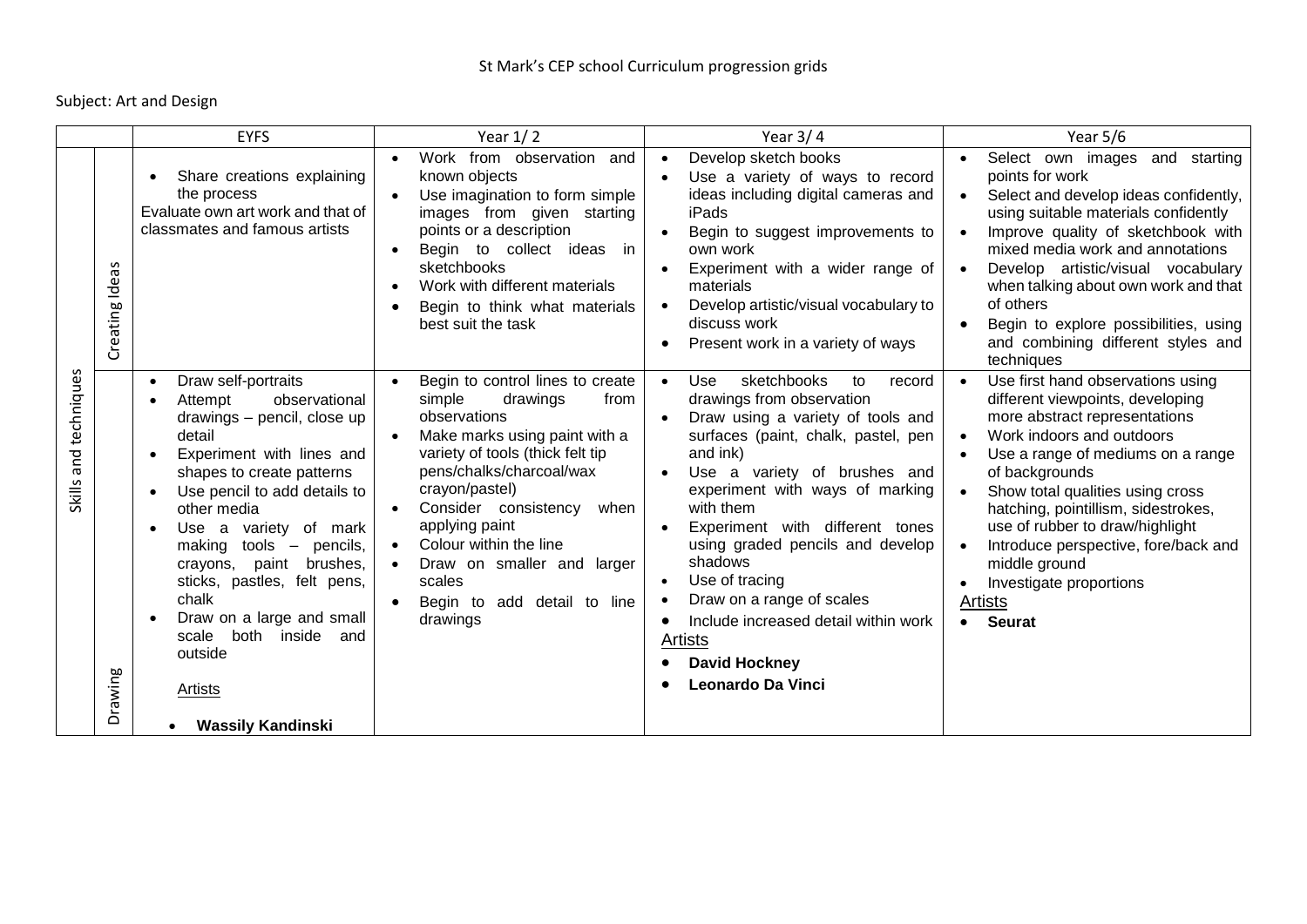Subject: Art and Design

|                                               | <b>EYFS</b>                                                                                                                                                                                                                                                                                                                                                                                                                                                                                               | Year $1/2$                                                                                                                                                                                                                                                                                                                                                                       | Year $3/4$                                                                                                                                                                                                                                                                                                                                                                                                                                                                                                                    | Year 5/6                                                                                                                                                                                                                                                                                                                                                                                                                 |
|-----------------------------------------------|-----------------------------------------------------------------------------------------------------------------------------------------------------------------------------------------------------------------------------------------------------------------------------------------------------------------------------------------------------------------------------------------------------------------------------------------------------------------------------------------------------------|----------------------------------------------------------------------------------------------------------------------------------------------------------------------------------------------------------------------------------------------------------------------------------------------------------------------------------------------------------------------------------|-------------------------------------------------------------------------------------------------------------------------------------------------------------------------------------------------------------------------------------------------------------------------------------------------------------------------------------------------------------------------------------------------------------------------------------------------------------------------------------------------------------------------------|--------------------------------------------------------------------------------------------------------------------------------------------------------------------------------------------------------------------------------------------------------------------------------------------------------------------------------------------------------------------------------------------------------------------------|
| S<br>ēΰ<br>Creating Id                        | Share creations explaining<br>the process<br>Evaluate own art work and that of<br>classmates and famous artists                                                                                                                                                                                                                                                                                                                                                                                           | Work from observation<br>and<br>known objects<br>Use imagination to form simple<br>images from given starting<br>points or a description<br>Begin to collect ideas in<br>$\bullet$<br>sketchbooks<br>Work with different materials<br>Begin to think what materials<br>best suit the task                                                                                        | Develop sketch books<br>$\bullet$<br>Use a variety of ways to record<br>ideas including digital cameras and<br>iPads<br>Begin to suggest improvements to<br>$\bullet$<br>own work<br>Experiment with a wider range of<br>materials<br>Develop artistic/visual vocabulary to<br>$\bullet$<br>discuss work<br>Present work in a variety of ways                                                                                                                                                                                 | Select own images<br>and<br>starting<br>points for work<br>Select and develop ideas confidently,<br>using suitable materials confidently<br>Improve quality of sketchbook with<br>mixed media work and annotations<br>Develop artistic/visual vocabulary<br>when talking about own work and that<br>of others<br>Begin to explore possibilities, using<br>and combining different styles and<br>techniques               |
| techniques<br>and<br><b>Skills</b><br>Drawing | Draw self-portraits<br>$\bullet$<br>observational<br>Attempt<br>drawings - pencil, close up<br>detail<br>Experiment with lines and<br>$\bullet$<br>shapes to create patterns<br>Use pencil to add details to<br>$\bullet$<br>other media<br>Use a variety of mark<br>making<br>$tools$ – pencils,<br>crayons, paint brushes,<br>sticks, pastles, felt pens,<br>chalk<br>Draw on a large and small<br>both<br>scale<br>inside<br>and<br>outside<br><u>Artists</u><br><b>Wassily Kandinski</b><br>$\bullet$ | Begin to control lines to create<br>$\bullet$<br>simple<br>drawings<br>from<br>observations<br>Make marks using paint with a<br>variety of tools (thick felt tip<br>pens/chalks/charcoal/wax<br>crayon/pastel)<br>Consider consistency<br>when<br>applying paint<br>Colour within the line<br>Draw on smaller and larger<br>scales<br>add detail to line<br>Begin to<br>drawings | sketchbooks<br>Use<br>to<br>record<br>$\bullet$<br>drawings from observation<br>Draw using a variety of tools and<br>surfaces (paint, chalk, pastel, pen<br>and ink)<br>Use a variety of brushes and<br>$\bullet$<br>experiment with ways of marking<br>with them<br>Experiment with different tones<br>using graded pencils and develop<br>shadows<br>Use of tracing<br>Draw on a range of scales<br>Include increased detail within work<br>$\bullet$<br><b>Artists</b><br><b>David Hockney</b><br><b>Leonardo Da Vinci</b> | Use first hand observations using<br>different viewpoints, developing<br>more abstract representations<br>Work indoors and outdoors<br>Use a range of mediums on a range<br>of backgrounds<br>Show total qualities using cross<br>hatching, pointillism, sidestrokes,<br>use of rubber to draw/highlight<br>Introduce perspective, fore/back and<br>middle ground<br>Investigate proportions<br>Artists<br><b>Seurat</b> |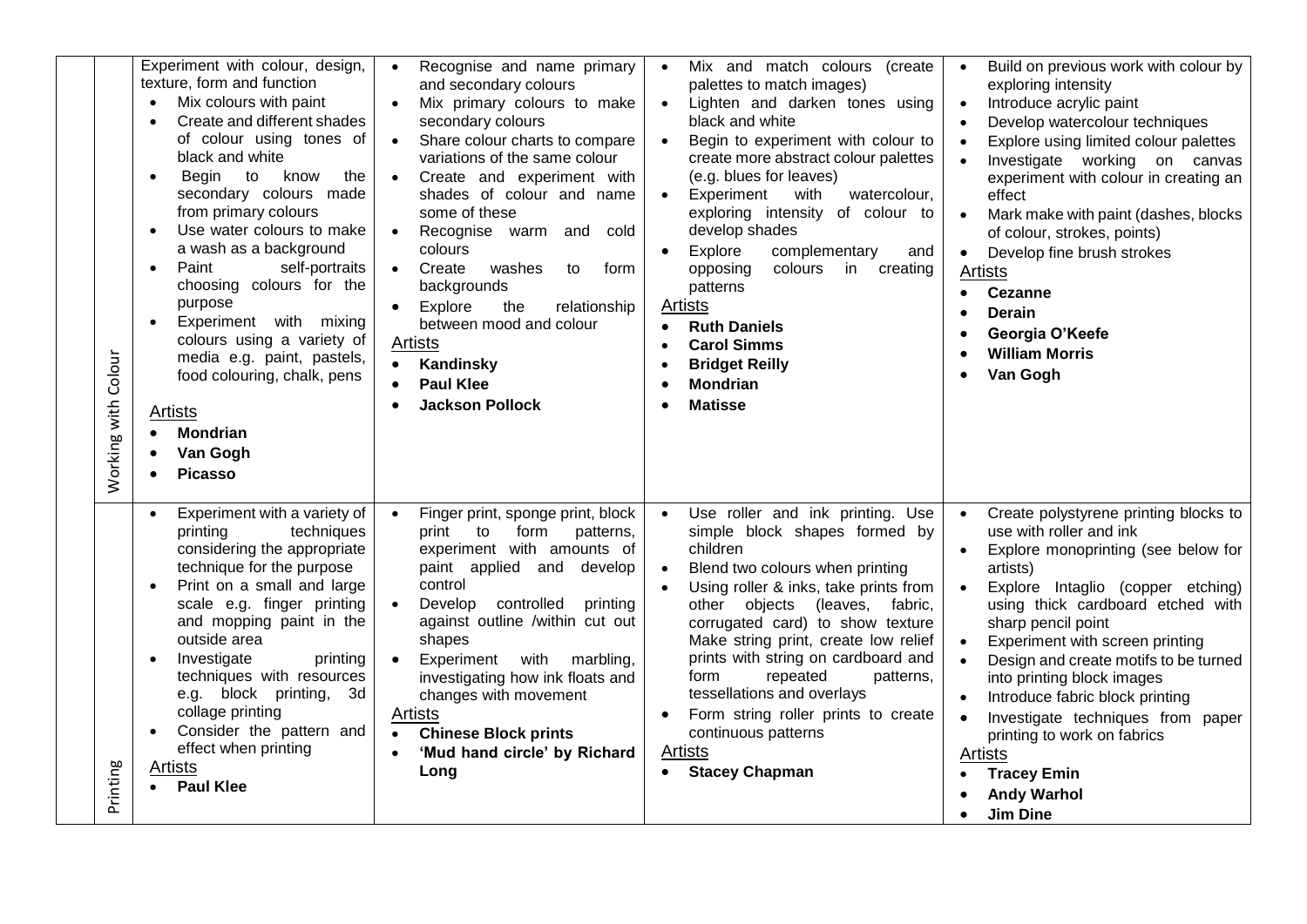| Experiment with colour, design,<br>texture, form and function<br>Mix colours with paint<br>$\bullet$<br>Create and different shades<br>of colour using tones of<br>black and white<br>Begin<br>to know<br>the<br>$\bullet$<br>secondary colours made<br>from primary colours<br>Use water colours to make<br>$\bullet$<br>a wash as a background<br>Paint<br>self-portraits<br>$\bullet$<br>choosing colours for the<br>purpose<br>Experiment with mixing<br>colours using a variety of<br>Working with Colour<br>media e.g. paint, pastels,<br>food colouring, chalk, pens<br>Artists<br><b>Mondrian</b><br>Van Gogh<br><b>Picasso</b> | Recognise and name primary<br>$\bullet$<br>and secondary colours<br>Mix primary colours to make<br>$\bullet$<br>secondary colours<br>Share colour charts to compare<br>$\bullet$<br>variations of the same colour<br>Create and experiment with<br>$\bullet$<br>shades of colour and name<br>some of these<br>Recognise warm and<br>cold<br>$\bullet$<br>colours<br>Create<br>washes<br>$\bullet$<br>to<br>form<br>backgrounds<br>Explore<br>the<br>relationship<br>$\bullet$<br>between mood and colour<br><b>Artists</b><br>Kandinsky<br>$\bullet$<br><b>Paul Klee</b><br><b>Jackson Pollock</b> | Mix and match colours (create<br>$\bullet$<br>palettes to match images)<br>Lighten and darken tones using<br>black and white<br>Begin to experiment with colour to<br>create more abstract colour palettes<br>(e.g. blues for leaves)<br>with<br>Experiment<br>watercolour,<br>exploring intensity of colour to<br>develop shades<br>Explore<br>complementary<br>and<br>opposing<br>colours<br>in creating<br>patterns<br>Artists<br><b>Ruth Daniels</b><br><b>Carol Simms</b><br>$\bullet$<br><b>Bridget Reilly</b><br><b>Mondrian</b><br><b>Matisse</b> | Build on previous work with colour by<br>$\bullet$<br>exploring intensity<br>Introduce acrylic paint<br>$\bullet$<br>Develop watercolour techniques<br>$\bullet$<br>Explore using limited colour palettes<br>$\bullet$<br>Investigate working on canvas<br>$\bullet$<br>experiment with colour in creating an<br>effect<br>Mark make with paint (dashes, blocks<br>$\bullet$<br>of colour, strokes, points)<br>Develop fine brush strokes<br>$\bullet$<br>Artists<br><b>Cezanne</b><br>$\bullet$<br>Derain<br>Georgia O'Keefe<br><b>William Morris</b><br>Van Gogh              |
|-----------------------------------------------------------------------------------------------------------------------------------------------------------------------------------------------------------------------------------------------------------------------------------------------------------------------------------------------------------------------------------------------------------------------------------------------------------------------------------------------------------------------------------------------------------------------------------------------------------------------------------------|----------------------------------------------------------------------------------------------------------------------------------------------------------------------------------------------------------------------------------------------------------------------------------------------------------------------------------------------------------------------------------------------------------------------------------------------------------------------------------------------------------------------------------------------------------------------------------------------------|-----------------------------------------------------------------------------------------------------------------------------------------------------------------------------------------------------------------------------------------------------------------------------------------------------------------------------------------------------------------------------------------------------------------------------------------------------------------------------------------------------------------------------------------------------------|---------------------------------------------------------------------------------------------------------------------------------------------------------------------------------------------------------------------------------------------------------------------------------------------------------------------------------------------------------------------------------------------------------------------------------------------------------------------------------------------------------------------------------------------------------------------------------|
| Experiment with a variety of<br>techniques<br>printing<br>considering the appropriate<br>technique for the purpose<br>Print on a small and large<br>$\bullet$<br>scale e.g. finger printing<br>and mopping paint in the<br>outside area<br>Investigate<br>printing<br>techniques with resources<br>e.g. block printing,<br>3d<br>collage printing<br>Consider the pattern and<br>effect when printing<br>Printing<br>Artists<br><b>Paul Klee</b>                                                                                                                                                                                        | Finger print, sponge print, block<br>$\bullet$<br>print to<br>form<br>patterns,<br>experiment with amounts of<br>paint applied and develop<br>control<br>Develop controlled<br>$\bullet$<br>printing<br>against outline /within cut out<br>shapes<br>Experiment<br>with<br>marbling,<br>$\bullet$<br>investigating how ink floats and<br>changes with movement<br><b>Artists</b><br><b>Chinese Block prints</b><br>'Mud hand circle' by Richard<br>Long                                                                                                                                            | Use roller and ink printing. Use<br>simple block shapes formed by<br>children<br>Blend two colours when printing<br>Using roller & inks, take prints from<br>other objects (leaves, fabric,<br>corrugated card) to show texture<br>Make string print, create low relief<br>prints with string on cardboard and<br>repeated<br>form<br>patterns.<br>tessellations and overlays<br>Form string roller prints to create<br>continuous patterns<br>Artists<br><b>Stacey Chapman</b>                                                                           | Create polystyrene printing blocks to<br>$\bullet$<br>use with roller and ink<br>Explore monoprinting (see below for<br>artists)<br>Explore Intaglio (copper etching)<br>using thick cardboard etched with<br>sharp pencil point<br>Experiment with screen printing<br>$\bullet$<br>Design and create motifs to be turned<br>$\bullet$<br>into printing block images<br>Introduce fabric block printing<br>Investigate techniques from paper<br>$\bullet$<br>printing to work on fabrics<br>Artists<br><b>Tracey Emin</b><br><b>Andy Warhol</b><br><b>Jim Dine</b><br>$\bullet$ |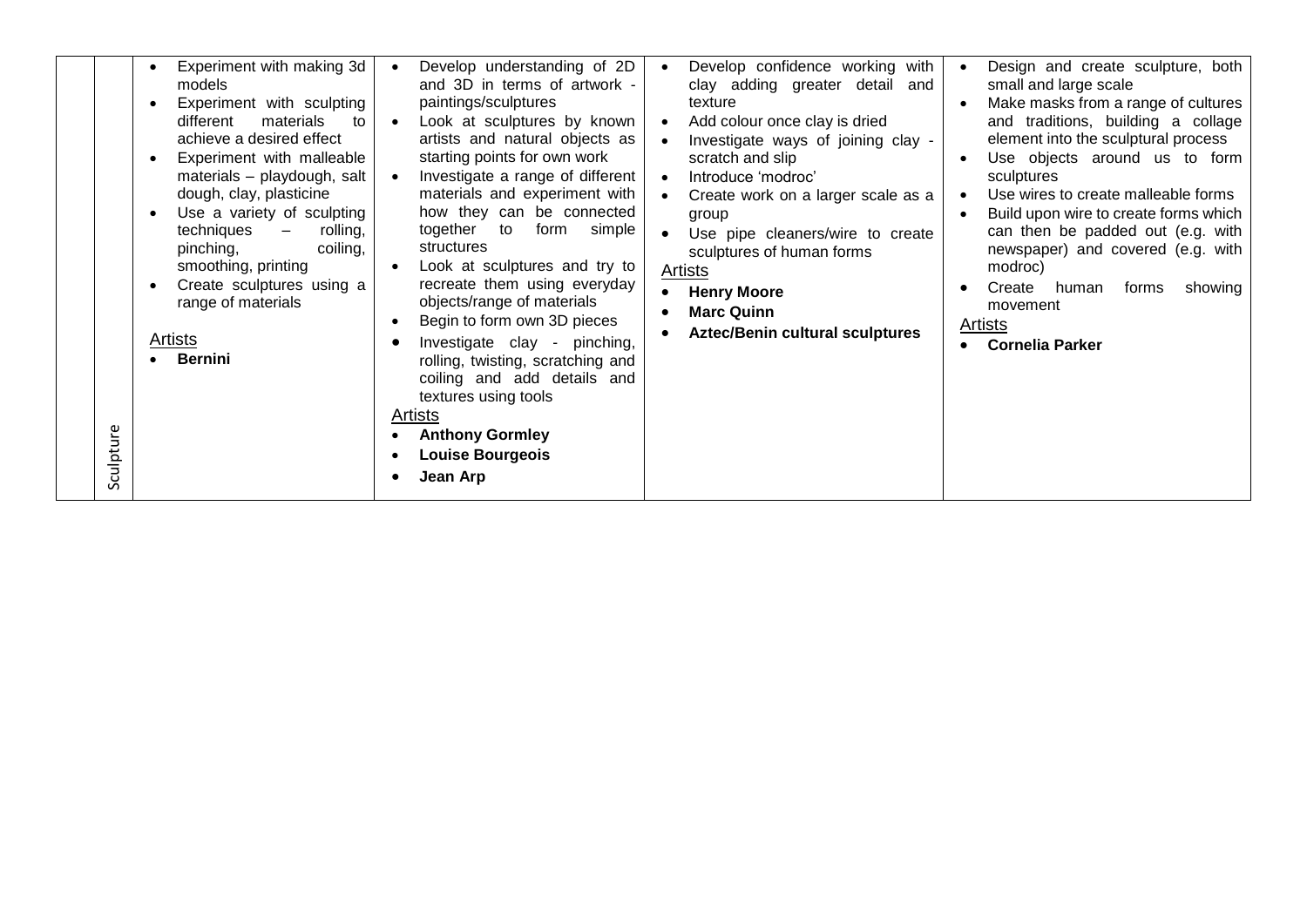| Sculpture | Experiment with making 3d<br>$\bullet$<br>models<br>Experiment with sculpting<br>materials<br>different<br>to<br>achieve a desired effect<br>Experiment with malleable<br>materials - playdough, salt<br>dough, clay, plasticine<br>Use a variety of sculpting<br>techniques<br>rolling,<br>$\overline{\phantom{m}}$<br>pinching,<br>coiling,<br>smoothing, printing<br>Create sculptures using a<br>range of materials<br>Artists<br>Bernini | Develop understanding of 2D<br>and 3D in terms of artwork -<br>paintings/sculptures<br>Look at sculptures by known<br>$\bullet$<br>artists and natural objects as<br>starting points for own work<br>Investigate a range of different<br>materials and experiment with<br>how they can be connected<br>together to<br>form<br>simple<br>structures<br>Look at sculptures and try to<br>recreate them using everyday<br>objects/range of materials<br>Begin to form own 3D pieces<br>Investigate clay - pinching,<br>rolling, twisting, scratching and<br>coiling and add details and<br>textures using tools<br><b>Artists</b><br><b>Anthony Gormley</b><br><b>Louise Bourgeois</b><br>Jean Arp | Develop confidence working with<br>clay adding greater detail and<br>texture<br>Add colour once clay is dried<br>Investigate ways of joining clay -<br>scratch and slip<br>Introduce 'modroc'<br>Create work on a larger scale as a<br>group<br>Use pipe cleaners/wire to create<br>sculptures of human forms<br>Artists<br><b>Henry Moore</b><br><b>Marc Quinn</b><br><b>Aztec/Benin cultural sculptures</b> | Design and create sculpture, both<br>small and large scale<br>Make masks from a range of cultures<br>and traditions, building a collage<br>element into the sculptural process<br>Use objects around us to form<br>sculptures<br>Use wires to create malleable forms<br>$\bullet$<br>Build upon wire to create forms which<br>can then be padded out (e.g. with<br>newspaper) and covered (e.g. with<br>modroc)<br>Create human<br>forms<br>showing<br>movement<br><b>Artists</b><br>Cornelia Parker |
|-----------|-----------------------------------------------------------------------------------------------------------------------------------------------------------------------------------------------------------------------------------------------------------------------------------------------------------------------------------------------------------------------------------------------------------------------------------------------|-------------------------------------------------------------------------------------------------------------------------------------------------------------------------------------------------------------------------------------------------------------------------------------------------------------------------------------------------------------------------------------------------------------------------------------------------------------------------------------------------------------------------------------------------------------------------------------------------------------------------------------------------------------------------------------------------|---------------------------------------------------------------------------------------------------------------------------------------------------------------------------------------------------------------------------------------------------------------------------------------------------------------------------------------------------------------------------------------------------------------|------------------------------------------------------------------------------------------------------------------------------------------------------------------------------------------------------------------------------------------------------------------------------------------------------------------------------------------------------------------------------------------------------------------------------------------------------------------------------------------------------|
|-----------|-----------------------------------------------------------------------------------------------------------------------------------------------------------------------------------------------------------------------------------------------------------------------------------------------------------------------------------------------------------------------------------------------------------------------------------------------|-------------------------------------------------------------------------------------------------------------------------------------------------------------------------------------------------------------------------------------------------------------------------------------------------------------------------------------------------------------------------------------------------------------------------------------------------------------------------------------------------------------------------------------------------------------------------------------------------------------------------------------------------------------------------------------------------|---------------------------------------------------------------------------------------------------------------------------------------------------------------------------------------------------------------------------------------------------------------------------------------------------------------------------------------------------------------------------------------------------------------|------------------------------------------------------------------------------------------------------------------------------------------------------------------------------------------------------------------------------------------------------------------------------------------------------------------------------------------------------------------------------------------------------------------------------------------------------------------------------------------------------|